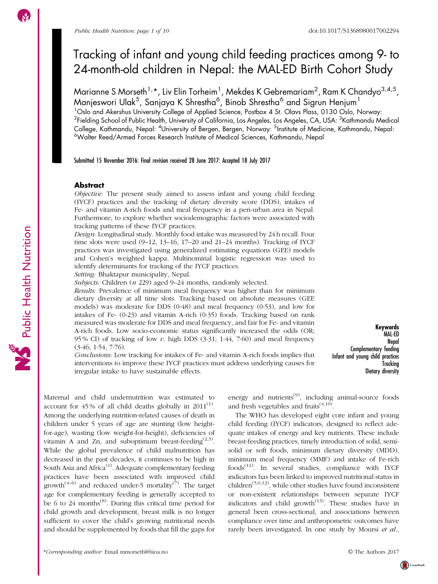# Tracking of infant and young child feeding practices among 9- to 24-month-old children in Nepal: the MAL-ED Birth Cohort Study

Marianne S Morseth $^{1,\star}$ , Liv Elin Torheim $^{1}$ , Mekdes K Gebremariam $^{2}$ , Ram K Chandyo $^{3,4,5}$ , Manjeswori Ulak<sup>5</sup>, Sanjaya K Shrestha<sup>6</sup>, Binob Shrestha<sup>6</sup> and Sigrun Henjum<sup>1</sup> <sup>1</sup>Oslo and Akershus University College of Applied Science, Postbox 4 St. Olavs Plass, 0130 Oslo, Norway: <sup>2</sup>Fielding School of Public Health, University of California, Los Angeles, Los Angeles, CA, USA: <sup>3</sup>Kathmandu Medical College, Kathmandu, Nepal: <sup>4</sup>University of Bergen, Bergen, Norway: <sup>5</sup>Institute of Medicine, Kathmandu, Nepal: <sup>6</sup>Walter Reed/Armed Forces Research Institute of Medical Sciences, Kathmandu, Nepal

Submitted 15 November 2016: Final revision received 28 June 2017: Accepted 18 July 2017

## **Abstract**

Objective: The present study aimed to assess infant and young child feeding (IYCF) practices and the tracking of dietary diversity score (DDS), intakes of Fe- and vitamin A-rich foods and meal frequency in a peri-urban area in Nepal. Furthermore, to explore whether sociodemographic factors were associated with tracking patterns of these IYCF practices.

Design: Longitudinal study. Monthly food intake was measured by 24 h recall. Four time slots were used  $(9-12, 13-16, 17-20, 120-24)$  months). Tracking of IYCF practices was investigated using generalized estimating equations (GEE) models and Cohen's weighted kappa. Multinominal logistic regression was used to identify determinants for tracking of the IYCF practices.

Setting: Bhaktapur municipality, Nepal.

Subjects: Children  $(n 229)$  aged 9-24 months, randomly selected.

Results: Prevalence of minimum meal frequency was higher than for minimum dietary diversity at all time slots. Tracking based on absolute measures (GEE models) was moderate for DDS (0·48) and meal frequency (0·53), and low for intakes of Fe- (0·23) and vitamin A-rich (0·35) foods. Tracking based on rank measured was moderate for DDS and meal frequency, and fair for Fe- and vitamin A-rich foods. Low socio-economic status significantly increased the odds (OR; 95% CI) of tracking of low v. high DDS  $(3.31; 1.44, 7.60)$  and meal frequency (3·46; 1·54, 7·76).

Keywords MAL-ED Nepal Complementary feeding Infant and young child practices **Tracking** Dietary diversity

Conclusions: Low tracking for intakes of Fe- and vitamin A-rich foods implies that interventions to improve these IYCF practices must address underlying causes for irregular intake to have sustainable effects.

Maternal and child undernutrition was estimated to account for  $45\%$  of all child deaths globally in  $2011^{(1)}$  $2011^{(1)}$  $2011^{(1)}$ . Among the underlying nutrition-related causes of death in children under 5 years of age are stunting (low heightfor-age), wasting (low weight-for-height), deficiencies of vitamin A and Zn, and suboptimum breast-feeding<sup> $(2,3)$  $(2,3)$ </sup>. While the global prevalence of child malnutrition has decreased in the past decades, it continues to be high in South Asia and Africa<sup>[\(1\)](#page-8-0)</sup>. Adequate complementary feeding practices have been associated with improved child growth<sup>[\(4](#page-8-0)–[6\)](#page-8-0)</sup> and reduced under-5 mortality<sup> $(7)$ </sup>. The target age for complementary feeding is generally accepted to be 6 to 24 months<sup> $(8)$  $(8)$  $(8)$ </sup>. During this critical time period for child growth and development, breast milk is no longer sufficient to cover the child's growing nutritional needs and should be supplemented by foods that fill the gaps for

energy and nutrients<sup>([9](#page-8-0))</sup>, including animal-source foods and fresh vegetables and fruits $(4,10)$  $(4,10)$ .

The WHO has developed eight core infant and young child feeding (IYCF) indicators, designed to reflect adequate intakes of energy and key nutrients. These include breast-feeding practices, timely introduction of solid, semisolid or soft foods, minimum dietary diversity (MDD), minimum meal frequency (MMF) and intake of Fe-rich  $foods<sup>(11)</sup>$  $foods<sup>(11)</sup>$  $foods<sup>(11)</sup>$ . In several studies, compliance with IYCF indicators has been linked to improved nutritional status in children<sup> $(5,6,12)$  $(5,6,12)$  $(5,6,12)$  $(5,6,12)$  $(5,6,12)$ </sup>, while other studies have found inconsistent or non-existent relationships between separate IYCF indicators and child growth<sup> $(13)$  $(13)$ </sup>. These studies have in general been cross-sectional, and associations between compliance over time and anthropometric outcomes have rarely been investigated. In one study by Moursi et al.,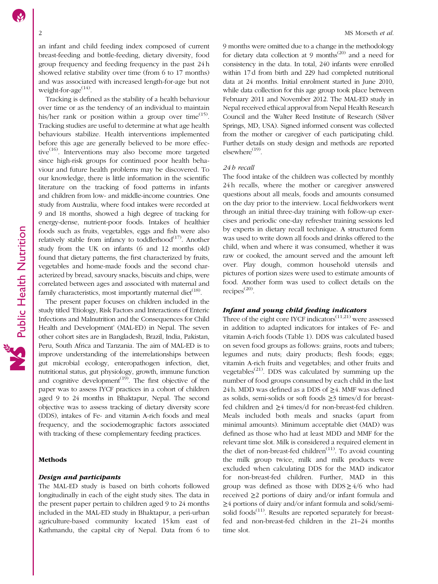an infant and child feeding index composed of current breast-feeding and bottle-feeding, dietary diversity, food group frequency and feeding frequency in the past 24 h showed relative stability over time (from 6 to 17 months) and was associated with increased length-for-age but not weight-for-age<sup>[\(14](#page-8-0))</sup>.

Tracking is defined as the stability of a health behaviour over time or as the tendency of an individual to maintain his/her rank or position within a group over time<sup>([15](#page-8-0))</sup>. Tracking studies are useful to determine at what age health behaviours stabilize. Health interventions implemented before this age are generally believed to be more effective $(16)$  $(16)$ . Interventions may also become more targeted since high-risk groups for continued poor health behaviour and future health problems may be discovered. To our knowledge, there is little information in the scientific literature on the tracking of food patterns in infants and children from low- and middle-income countries. One study from Australia, where food intakes were recorded at 9 and 18 months, showed a high degree of tracking for energy-dense, nutrient-poor foods. Intakes of healthier foods such as fruits, vegetables, eggs and fish were also relatively stable from infancy to toddlerhood $(17)$  $(17)$ . Another study from the UK on infants (6 and 12 months old) found that dietary patterns, the first characterized by fruits, vegetables and home-made foods and the second characterized by bread, savoury snacks, biscuits and chips, were correlated between ages and associated with maternal and family characteristics, most importantly maternal diet $(18)$  $(18)$ .

The present paper focuses on children included in the study titled 'Etiology, Risk Factors and Interactions of Enteric Infections and Malnutrition and the Consequences for Child Health and Development' (MAL-ED) in Nepal. The seven other cohort sites are in Bangladesh, Brazil, India, Pakistan, Peru, South Africa and Tanzania. The aim of MAL-ED is to improve understanding of the interrelationships between gut microbial ecology, enteropathogen infection, diet, nutritional status, gut physiology, growth, immune function and cognitive development $(19)$  $(19)$ . The first objective of the paper was to assess IYCF practices in a cohort of children aged 9 to 24 months in Bhaktapur, Nepal. The second objective was to assess tracking of dietary diversity score (DDS), intakes of Fe- and vitamin A-rich foods and meal frequency, and the sociodemographic factors associated with tracking of these complementary feeding practices.

## Methods

## Design and participants

The MAL-ED study is based on birth cohorts followed longitudinally in each of the eight study sites. The data in the present paper pertain to children aged 9 to 24 months included in the MAL-ED study in Bhaktapur, a peri-urban agriculture-based community located 15 km east of Kathmandu, the capital city of Nepal. Data from 6 to 9 months were omitted due to a change in the methodology for dietary data collection at 9 months<sup> $(20)$ </sup> and a need for consistency in the data. In total, 240 infants were enrolled within 17 d from birth and 229 had completed nutritional data at 24 months. Initial enrolment started in June 2010, while data collection for this age group took place between February 2011 and November 2012. The MAL-ED study in Nepal received ethical approval from Nepal Health Research Council and the Walter Reed Institute of Research (Silver Springs, MD, USA). Signed informed consent was collected from the mother or caregiver of each participating child. Further details on study design and methods are reported  $elsewhere<sup>(19)</sup>$  $elsewhere<sup>(19)</sup>$  $elsewhere<sup>(19)</sup>$ .

## 24 h recall

The food intake of the children was collected by monthly 24 h recalls, where the mother or caregiver answered questions about all meals, foods and amounts consumed on the day prior to the interview. Local fieldworkers went through an initial three-day training with follow-up exercises and periodic one-day refresher training sessions led by experts in dietary recall technique. A structured form was used to write down all foods and drinks offered to the child, when and where it was consumed, whether it was raw or cooked, the amount served and the amount left over. Play dough, common household utensils and pictures of portion sizes were used to estimate amounts of food. Another form was used to collect details on the recipes<sup>[\(20](#page-8-0))</sup>.

# Infant and young child feeding indicators

Three of the eight core IYCF indicators $^{(11,21)}$  $^{(11,21)}$  $^{(11,21)}$  were assessed in addition to adapted indicators for intakes of Fe- and vitamin A-rich foods ([Table 1\)](#page-2-0). DDS was calculated based on seven food groups as follows: grains, roots and tubers; legumes and nuts; dairy products; flesh foods; eggs; vitamin A-rich fruits and vegetables; and other fruits and vegetables<sup> $(21)$  $(21)$  $(21)$ </sup>. DDS was calculated by summing up the number of food groups consumed by each child in the last 24 h. MDD was defined as a DDS of ≥4. MMF was defined as solids, semi-solids or soft foods ≥3 times/d for breastfed children and ≥4 times/d for non-breast-fed children. Meals included both meals and snacks (apart from minimal amounts). Minimum acceptable diet (MAD) was defined as those who had at least MDD and MMF for the relevant time slot. Milk is considered a required element in the diet of non-breast-fed children<sup> $(11)$  $(11)$ </sup>. To avoid counting the milk group twice, milk and milk products were excluded when calculating DDS for the MAD indicator for non-breast-fed children. Further, MAD in this group was defined as those with  $DDS \geq 4/6$  who had received ≥2 portions of dairy and/or infant formula and ≥4 portions of dairy and/or infant formula and solid/semi-solid foods<sup>[\(11](#page-8-0))</sup>. Results are reported separately for breastfed and non-breast-fed children in the 21–24 months time slot.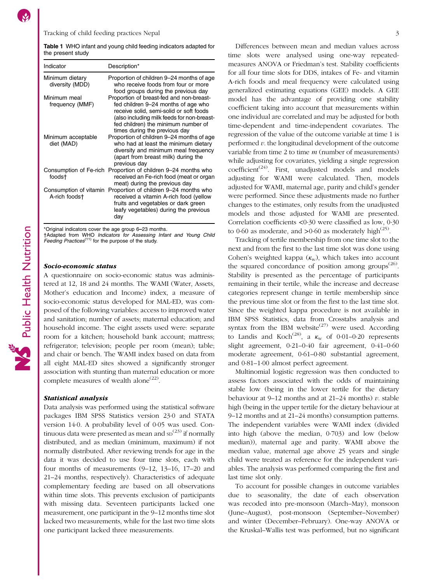<span id="page-2-0"></span>Table 1 WHO infant and young child feeding indicators adapted for the present study

| Indicator                               | Description*                                                                                                                                                                                                                                     |
|-----------------------------------------|--------------------------------------------------------------------------------------------------------------------------------------------------------------------------------------------------------------------------------------------------|
| Minimum dietary<br>diversity (MDD)      | Proportion of children 9–24 months of age<br>who receive foods from four or more<br>food groups during the previous day                                                                                                                          |
| Minimum meal<br>frequency (MMF)         | Proportion of breast-fed and non-breast-<br>fed children 9-24 months of age who<br>receive solid, semi-solid or soft foods<br>(also including milk feeds for non-breast-<br>fed children) the minimum number of<br>times during the previous day |
| Minimum acceptable<br>diet (MAD)        | Proportion of children 9-24 months of age<br>who had at least the minimum dietary<br>diversity and minimum meal frequency<br>(apart from breast milk) during the<br>previous day                                                                 |
| Consumption of Fe-rich<br>foods†        | Proportion of children 9-24 months who<br>received an Fe-rich food (meat or organ<br>meat) during the previous day                                                                                                                               |
| Consumption of vitamin<br>A-rich foods† | Proportion of children 9-24 months who<br>received a vitamin A-rich food (yellow<br>fruits and vegetables or dark green<br>leafy vegetables) during the previous<br>day                                                                          |

\*Original indicators cover the age group 6–23 months.

†Adapted from WHO *Indicators for Assessing Infant and Young Child*<br>Feeding Practices<sup>([11\)](#page-8-0)</sup> for the purpose of the study.

#### Socio-economic status

A questionnaire on socio-economic status was administered at 12, 18 and 24 months. The WAMI (Water, Assets, Mother's education and Income) index, a measure of socio-economic status developed for MAL-ED, was composed of the following variables: access to improved water and sanitation; number of assets; maternal education; and household income. The eight assets used were: separate room for a kitchen; household bank account; mattress; refrigerator; television; people per room (mean); table; and chair or bench. The WAMI index based on data from all eight MAL-ED sites showed a significantly stronger association with stunting than maternal education or more complete measures of wealth alone<sup> $(22)$  $(22)$  $(22)$ </sup>.

#### Statistical analysis

Data analysis was performed using the statistical software packages IBM SPSS Statistics version 23·0 and STATA version 14·0. A probability level of 0·05 was used. Continuous data were presented as mean and  $\text{SD}^{(23)}$  $\text{SD}^{(23)}$  $\text{SD}^{(23)}$  if normally distributed, and as median (minimum, maximum) if not normally distributed. After reviewing trends for age in the data it was decided to use four time slots, each with four months of measurements (9–12, 13–16, 17–20 and 21–24 months, respectively). Characteristics of adequate complementary feeding are based on all observations within time slots. This prevents exclusion of participants with missing data. Seventeen participants lacked one measurement, one participant in the 9–12 months time slot lacked two measurements, while for the last two time slots one participant lacked three measurements.

Differences between mean and median values across time slots were analysed using one-way repeatedmeasures ANOVA or Friedman's test. Stability coefficients for all four time slots for DDS, intakes of Fe- and vitamin A-rich foods and meal frequency were calculated using generalized estimating equations (GEE) models. A GEE model has the advantage of providing one stability coefficient taking into account that measurements within one individual are correlated and may be adjusted for both time-dependent and time-independent covariates. The regression of the value of the outcome variable at time 1 is performed  $v$ , the longitudinal development of the outcome variable from time  $2$  to time  $m$  (number of measurements) while adjusting for covariates, yielding a single regression  $coefficient<sup>(24)</sup>$  $coefficient<sup>(24)</sup>$  $coefficient<sup>(24)</sup>$ . First, unadjusted models and models adjusting for WAMI were calculated. Then, models adjusted for WAMI, maternal age, parity and child's gender were performed. Since these adjustments made no further changes to the estimates, only results from the unadjusted models and those adjusted for WAMI are presented. Correlation coefficients <0·30 were classified as low, 0·30 to 0.60 as moderate, and >0.60 as moderately high<sup>([25\)](#page-8-0)</sup>.

Tracking of tertile membership from one time slot to the next and from the first to the last time slot was done using Cohen's weighted kappa  $(\kappa_{\rm w})$ , which takes into account the squared concordance of position among groups<sup> $(26)$  $(26)$ </sup>. Stability is presented as the percentage of participants remaining in their tertile, while the increase and decrease categories represent change in tertile membership since the previous time slot or from the first to the last time slot. Since the weighted kappa procedure is not available in IBM SPSS Statistics, data from Crosstabs analysis and syntax from the IBM website<sup> $(27)$  $(27)$ </sup> were used. According to Landis and Koch<sup>[\(28](#page-8-0))</sup>, a  $\kappa_{\rm w}$  of 0·01–0·20 represents slight agreement, 0·21–0·40 fair agreement, 0·41–0·60 moderate agreement, 0·61–0·80 substantial agreement, and 0·81–1·00 almost perfect agreement.

Multinomial logistic regression was then conducted to assess factors associated with the odds of maintaining stable low (being in the lower tertile for the dietary behaviour at 9–12 months and at 21–24 months)  $v$ . stable high (being in the upper tertile for the dietary behaviour at 9–12 months and at 21–24 months) consumption patterns. The independent variables were WAMI index (divided into high (above the median, 0·703) and low (below median)), maternal age and parity. WAMI above the median value, maternal age above 25 years and single child were treated as reference for the independent variables. The analysis was performed comparing the first and last time slot only.

To account for possible changes in outcome variables due to seasonality, the date of each observation was recoded into pre-monsoon (March–May), monsoon (June–August), post-monsoon (September–November) and winter (December–February). One-way ANOVA or the Kruskal–Wallis test was performed, but no significant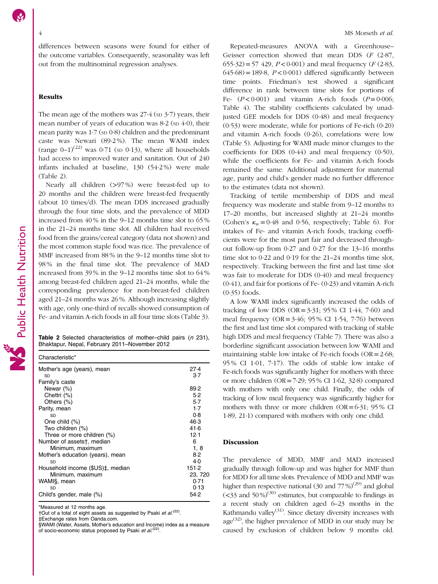#### Results

The mean age of the mothers was  $27.4$  (sp  $3.7$ ) years, their mean number of years of education was 8.2 (sp 4.0), their mean parity was 1·7 (SD 0·8) children and the predominant caste was Newari (89·2 %). The mean WAMI index (range  $(0-1)^{(22)}$  $(0-1)^{(22)}$  $(0-1)^{(22)}$  was  $(0.71)$  (sp  $(0.13)$ ), where all households had access to improved water and sanitation. Out of 240 infants included at baseline, 130 (54·2 %) were male (Table 2).

Nearly all children (>97 %) were breast-fed up to 20 months and the children were breast-fed frequently (about 10 times/d). The mean DDS increased gradually through the four time slots, and the prevalence of MDD increased from 40 % in the 9–12 months time slot to 65 % in the 21–24 months time slot. All children had received food from the grains/cereal category (data not shown) and the most common staple food was rice. The prevalence of MMF increased from 88 % in the 9–12 months time slot to 98 % in the final time slot. The prevalence of MAD increased from 39 % in the 9–12 months time slot to 64 % among breast-fed children aged 21–24 months, while the corresponding prevalence for non-breast-fed children aged 21–24 months was 26 %. Although increasing slightly with age, only one-third of recalls showed consumption of Fe- and vitamin A-rich foods in all four time slots ([Table 3](#page-4-0)).

Table 2 Selected characteristics of mother–child pairs (n 231), Bhaktapur, Nepal, February 2011–November 2012

| Characteristic*                  |               |
|----------------------------------|---------------|
| Mother's age (years), mean<br>SD | 27.4<br>$3-7$ |
| Family's caste                   |               |
| Newar (%)                        | 89.2          |
| Chettri (%)                      | 5.2           |
| Others (%)                       | $5-7$         |
| Parity, mean                     | 1.7           |
| .SD                              | 0.8           |
| One child (%)                    | 46.3          |
| Two children (%)                 | 41.6          |
| Three or more children (%)       | 12.1          |
| Number of assets†, median        | 6             |
| Minimum, maximum                 | 1, 8          |
| Mother's education (years), mean | 8.2           |
| SD                               | 4.0           |
| Household income (\$US)‡, median | 151.2         |
| Minimum, maximum                 | 23, 720       |
| WAMI§, mean                      | 0.71          |
| SD                               | 0.13          |
| Child's gender, male (%)         | 54.2          |

\*Measured at 12 months age.

†Out of a total of eight assets as suggested by Psaki et al.<sup>([22\)](#page-8-0)</sup>.

‡Exchange rates from Oanda.com.

§WAMI (Water, Assets, Mother's education and Income) index as a measure of socio-economic status proposed by Psaki et al.<sup>[\(22\)](#page-8-0)</sup>.

Repeated-measures ANOVA with a Greenhouse– Geisser correction showed that mean DDS (F (2·87,  $(655.32) = 57$  429,  $P < 0.001$ ) and meal frequency (F (2.83,  $645.68$  = 189.8,  $P < 0.001$ ) differed significantly between time points. Friedman's test showed a significant difference in rank between time slots for portions of Fe-  $(P<0.001)$  and vitamin A-rich foods  $(P=0.006;$ [Table 4](#page-4-0)). The stability coefficients calculated by unadjusted GEE models for DDS (0·48) and meal frequency (0·53) were moderate, while for portions of Fe-rich (0·20) and vitamin A-rich foods (0·26), correlations were low ([Table 5](#page-4-0)). Adjusting for WAMI made minor changes to the coefficients for DDS (0·44) and meal frequency (0·50), while the coefficients for Fe- and vitamin A-rich foods remained the same. Additional adjustment for maternal age, parity and child's gender made no further difference to the estimates (data not shown).

Tracking of tertile membership of DDS and meal frequency was moderate and stable from 9–12 months to 17–20 months, but increased slightly at 21–24 months (Cohen's  $\kappa_w = 0.48$  and 0.56, respectively; [Table 6](#page-5-0)). For intakes of Fe- and vitamin A-rich foods, tracking coefficients were for the most part fair and decreased throughout follow-up from 0·27 and 0·27 for the 13–16 months time slot to 0·22 and 0·19 for the 21–24 months time slot, respectively. Tracking between the first and last time slot was fair to moderate for DDS (0·40) and meal frequency (0·41), and fair for portions of Fe- (0·23) and vitamin A-rich (0·35) foods.

A low WAMI index significantly increased the odds of tracking of low DDS ( $OR = 3.31$ ; 95% CI 1.44, 7.60) and meal frequency ( $OR = 3.46$ ; 95% CI 1.54, 7.76) between the first and last time slot compared with tracking of stable high DDS and meal frequency ([Table 7](#page-6-0)). There was also a borderline significant association between low WAMI and maintaining stable low intake of Fe-rich foods ( $OR = 2.68$ ; 95 % CI 1·01, 7·17). The odds of stable low intake of Fe-rich foods was significantly higher for mothers with three or more children (OR=7·29; 95 % CI 1·62, 32·8) compared with mothers with only one child. Finally, the odds of tracking of low meal frequency was significantly higher for mothers with three or more children  $OR = 6.31$ ; 95% CI 1·89, 21·1) compared with mothers with only one child.

#### Discussion

The prevalence of MDD, MMF and MAD increased gradually through follow-up and was higher for MMF than for MDD for all time slots. Prevalence of MDD and MMF was higher than respective national (30 and  $77\%^{(29)}$  $77\%^{(29)}$  $77\%^{(29)}$  and global  $(<$ 33 and 50%)<sup>[\(30\)](#page-8-0)</sup> estimates, but comparable to findings in a recent study on children aged 6–23 months in the Kathmandu valley $(31)$  $(31)$  $(31)$ . Since dietary diversity increases with age<sup> $(32)$  $(32)$ </sup>, the higher prevalence of MDD in our study may be caused by exclusion of children below 9 months old.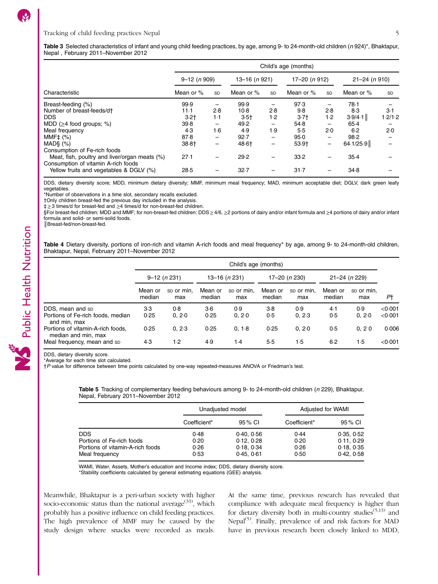<span id="page-4-0"></span>Table 3 Selected characteristics of infant and young child feeding practices, by age, among 9- to 24-month-old children (n 924)\*, Bhaktapur, Nepal , February 2011–November 2012

|                                                                                      | Child's age (months) |           |                   |           |               |                 |                   |                          |  |  |  |  |
|--------------------------------------------------------------------------------------|----------------------|-----------|-------------------|-----------|---------------|-----------------|-------------------|--------------------------|--|--|--|--|
|                                                                                      | $9 - 12$ (n 909)     |           | $13 - 16$ (n 921) |           | 17-20 (n 912) |                 | $21 - 24$ (n 910) |                          |  |  |  |  |
| Characteristic                                                                       | Mean or %            | <b>SD</b> | Mean or %         | <b>SD</b> | Mean or %     | <b>SD</b>       | Mean or %         | SD                       |  |  |  |  |
| Breast-feeding (%)                                                                   | 99.9                 | -         | 99.9              |           | 97.3          |                 | 78.1              |                          |  |  |  |  |
| Number of breast-feeds/dt                                                            | $11-1$               | 2.8       | $10-8$            | 2.8       | 9.8           | 2.8             | 8.3               | 3.1                      |  |  |  |  |
| <b>DDS</b>                                                                           | $3.2 +$              | $1-1$     | $3.5+$            | 1.2       | $3.7+$        | 1.2             | 3.9/4.1           | 1.2/1.2                  |  |  |  |  |
| MDD ( $\geq$ 4 food groups; %)                                                       | 39.8                 | -         | 49.2              | -         | 54.8          | -               | $65-4$            |                          |  |  |  |  |
| Meal frequency                                                                       | 4.3                  | 1·6       | 4.9               | 1.9       | 5.5           | 2.0             | $6-2$             | 2.0                      |  |  |  |  |
| MMF $\ddagger$ (%)                                                                   | 87.8                 | -         | 92.7              | -         | 95.0          |                 | 98.2              |                          |  |  |  |  |
| $MAD\$ $(%)$                                                                         | $38.8 +$             | -         | $48.6 +$          | -         | $53.9+$       | $\qquad \qquad$ | 64.1/25.9         | $\overline{\phantom{0}}$ |  |  |  |  |
| Consumption of Fe-rich foods                                                         |                      |           |                   |           |               |                 |                   |                          |  |  |  |  |
| Meat, fish, poultry and liver/organ meats (%)<br>Consumption of vitamin A-rich foods | 27.1                 | -         | 29.2              |           | 33.2          |                 | 35.4              |                          |  |  |  |  |
| Yellow fruits and vegetables & DGLV (%)                                              | 28.5                 |           | 32.7              |           | 31.7          |                 | 34.8              |                          |  |  |  |  |

DDS, dietary diversity score; MDD, minimum dietary diversity; MMF, minimum meal frequency; MAD, minimum acceptable diet; DGLV, dark green leafy vegetables.

\*Number of observations in a time slot, secondary recalls excluded.

†Only children breast-fed the previous day included in the analysis.

‡ ≥3 times/d for breast-fed and ≥4 times/d for non-breast-fed children.

§For breast-fed children: MDD and MMF; for non-breast-fed children: DDS ≥ 4/6, ≥2 portions of dairy and/or infant formula and ≥4 portions of dairy and/or infant formula and solid- or semi-solid foods.

║Breast-fed/non-breast-fed.

Table 4 Dietary diversity, portions of iron-rich and vitamin A-rich foods and meal frequency\* by age, among 9- to 24-month-old children, Bhaktapur, Nepal, February 2011–November 2012

|                                                                                         | Child's age (months) |                   |                   |                   |                   |                   |                   |                   |                    |  |  |  |  |  |
|-----------------------------------------------------------------------------------------|----------------------|-------------------|-------------------|-------------------|-------------------|-------------------|-------------------|-------------------|--------------------|--|--|--|--|--|
|                                                                                         | $9 - 12$ (n 231)     |                   |                   | 13–16 (n 231)     |                   | 17–20 (n 230)     | $21 - 24$ (n 229) |                   |                    |  |  |  |  |  |
|                                                                                         | Mean or<br>median    | sp or min.<br>max | Mean or<br>median | sp or min.<br>max | Mean or<br>median | sp or min.<br>max | Mean or<br>median | sp or min.<br>max | Ρt                 |  |  |  |  |  |
| DDS, mean and sp<br>Portions of Fe-rich foods, median<br>and min. max                   | 3.3<br>0.25          | 0.8<br>0, 2.0     | 3·6<br>0.25       | 0.9<br>0, 2.0     | $3-8$<br>0.5      | 0.9<br>0.23       | 4.1<br>0.5        | 0.9<br>0, 2.0     | < 0.001<br>< 0.001 |  |  |  |  |  |
| Portions of vitamin-A-rich foods,<br>median and min, max<br>Meal frequency, mean and sp | 0.25<br>4.3          | 0.23<br>1.2       | 0.25<br>4.9       | 0, 1.8<br>1.4     | 0.25<br>5.5       | 0.20<br>1.5       | 0.5<br>6.2        | 0.20<br>$1-5$     | 0.006<br>< 0.001   |  |  |  |  |  |

DDS, dietary diversity score.

\*Average for each time slot calculated.

†P value for difference between time points calculated by one-way repeated-measures ANOVA or Friedman's test.

Table 5 Tracking of complementary feeding behaviours among 9- to 24-month-old children (n 229), Bhaktapur, Nepal, February 2011–November 2012

|                                  | Unadjusted model |            | Adjusted for WAMI |            |  |  |  |  |
|----------------------------------|------------------|------------|-------------------|------------|--|--|--|--|
|                                  | Coefficient*     | 95 % CI    | Coefficient*      | 95 % CI    |  |  |  |  |
| <b>DDS</b>                       | 0.48             | 0.40.0.56  | 0.44              | 0.35, 0.52 |  |  |  |  |
| Portions of Fe-rich foods        | 0.20             | 0.12.0.28  | 0.20              | 0.11, 0.29 |  |  |  |  |
| Portions of vitamin-A-rich foods | 0.26             | 0.18, 0.34 | 0.26              | 0.18, 0.35 |  |  |  |  |
| Meal frequency                   | 0.53             | 0.45.061   | 0.50              | 0.42, 0.58 |  |  |  |  |

WAMI, Water, Assets, Mother's education and Income index; DDS, dietary diversity score. \*Stability coefficients calculated by general estimating equations (GEE) analysis.

Meanwhile, Bhaktapur is a peri-urban society with higher socio-economic status than the national average<sup> $(33)$ </sup>, which probably has a positive influence on child feeding practices. The high prevalence of MMF may be caused by the study design where snacks were recorded as meals.

At the same time, previous research has revealed that compliance with adequate meal frequency is higher than for dietary diversity both in multi-country studies<sup> $(5,13)$  $(5,13)$ </sup> and Nepal<sup>([5](#page-8-0))</sup>. Finally, prevalence of and risk factors for MAD have in previous research been closely linked to MDD,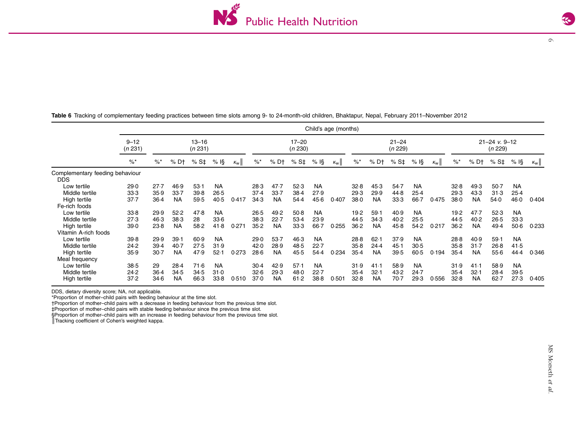NŚ Public Health Nutrition

|                                               | Child's age (months) |                      |           |        |           |       |      |                      |        |           |       |      |                      |        |           |       |      |                          |        |           |       |
|-----------------------------------------------|----------------------|----------------------|-----------|--------|-----------|-------|------|----------------------|--------|-----------|-------|------|----------------------|--------|-----------|-------|------|--------------------------|--------|-----------|-------|
|                                               | $9 - 12$<br>(n 231)  | $13 - 16$<br>(n 231) |           |        |           |       |      | $17 - 20$<br>(n 230) |        |           |       |      | $21 - 24$<br>(n 229) |        |           |       |      | 21-24 v. 9-12<br>(n 229) |        |           |       |
|                                               | $\%$                 | $\%$                 | % D†      | $%$ S‡ | % I§      | $K_W$ | $\%$ | $%$ D <sup>+</sup>   | $%$ S‡ | % I§      | $K_W$ | $\%$ | $%$ D <sup>+</sup>   | $%$ S‡ | % I§      | $K_W$ | $\%$ | % D†                     | $%$ S‡ | % I§      | $K_W$ |
| Complementary feeding behaviour<br><b>DDS</b> |                      |                      |           |        |           |       |      |                      |        |           |       |      |                      |        |           |       |      |                          |        |           |       |
| Low tertile                                   | 29.0                 | 27.7                 | 46.9      | 53.1   | <b>NA</b> |       | 28.3 | 47.7                 | 52.3   | <b>NA</b> |       | 32.8 | 45.3                 | 54.7   | <b>NA</b> |       | 32.8 | 49.3                     | $50-7$ | <b>NA</b> |       |
| Middle tertile                                | 33.3                 | 35.9                 | 33.7      | 39.8   | 26.5      |       | 37.4 | 33.7                 | 38.4   | 27.9      |       | 29.3 | 29.9                 | 44.8   | 25.4      |       | 29.3 | 43.3                     | 31.3   | 25.4      |       |
| High tertile                                  | $37 - 7$             | 36.4                 | <b>NA</b> | 59.5   | 40.5      | 0.417 | 34.3 | <b>NA</b>            | 54.4   | $45-6$    | 0.407 | 38.0 | <b>NA</b>            | 33.3   | $66 - 7$  | 0.475 | 38.0 | <b>NA</b>                | 54.0   | 46.0      | 0.404 |
| Fe-rich foods                                 |                      |                      |           |        |           |       |      |                      |        |           |       |      |                      |        |           |       |      |                          |        |           |       |
| Low tertile                                   | 33.8                 | 29.9                 | 52.2      | 47.8   | <b>NA</b> |       | 26.5 | 49.2                 | 50.8   | <b>NA</b> |       | 19.2 | 59.1                 | 40.9   | <b>NA</b> |       | 19.2 | 47.7                     | 52.3   | <b>NA</b> |       |
| Middle tertile                                | 27.3                 | 46.3                 | 38.3      | 28     | 33.6      |       | 38.3 | 22.7                 | 53.4   | 23.9      |       | 44.5 | 34.3                 | 40.2   | 25.5      |       | 44.5 | 40.2                     | 26.5   | 33.3      |       |
| High tertile                                  | 39.0                 | 23.8                 | <b>NA</b> | 58.2   | 41.8      | 0.271 | 35.2 | <b>NA</b>            | 33.3   | $66 - 7$  | 0.255 | 36.2 | <b>NA</b>            | 45.8   | 54.2      | 0.217 | 36.2 | <b>NA</b>                | 49.4   | $50-6$    | 0.233 |
| Vitamin A-rich foods                          |                      |                      |           |        |           |       |      |                      |        |           |       |      |                      |        |           |       |      |                          |        |           |       |
| Low tertile                                   | 39.8                 | 29.9                 | 39.1      | 60.9   | <b>NA</b> |       | 29.0 | 53.7                 | 46.3   | <b>NA</b> |       | 28.8 | 62.1                 | 37.9   | <b>NA</b> |       | 28.8 | 40.9                     | 59.1   | <b>NA</b> |       |
| Middle tertile                                | 24.2                 | 39.4                 | 40.7      | 27.5   | 31.9      |       | 42.0 | 28.9                 | 48.5   | 22.7      |       | 35.8 | 24.4                 | 45.1   | 30.5      |       | 35.8 | $31-7$                   | 26.8   | 41.5      |       |
| High tertile                                  | 35.9                 | $30-7$               | NA        | 47.9   | 52.1      | 0.273 | 28.6 | <b>NA</b>            | 45.5   | 54.4      | 0.234 | 35.4 | <b>NA</b>            | 39.5   | 60.5      | 0.194 | 35.4 | <b>NA</b>                | 55.6   | 44.4      | 0.346 |
| Meal frequency                                |                      |                      |           |        |           |       |      |                      |        |           |       |      |                      |        |           |       |      |                          |        |           |       |
| Low tertile                                   | 38.5                 | 29                   | 28.4      | 71.6   | <b>NA</b> |       | 30.4 | 42.9                 | 57.1   | <b>NA</b> |       | 31.9 | 41.1                 | 58.9   | <b>NA</b> |       | 31.9 | 41.1                     | 58.9   | <b>NA</b> |       |

Middle tertile 24·2 36·4 34·5 34·5 31·0 32·6 29·3 48·0 22·7 35·4 32·1 43·2 24·7 35·4 32·1 28·4 39·5

High tertile 37·2 34·6 NA 66·3 33·8 0·510 37·0 NA 61·2 38·8 0·501 32·8 NA 70·7 29·3 0·556 32·8 NA 62·7 27·3 0·405

<span id="page-5-0"></span>Table 6 Tracking of complementary feeding practices between time slots among 9- to 24-month-old children, Bhaktapur, Nepal, February 2011–November 2012

DDS, dietary diversity score; NA, not applicable.

\*Proportion of mother–child pairs with feeding behaviour at the time slot.

†Proportion of mother–child pairs with <sup>a</sup> decrease in feeding behaviour from the previous time slot.

‡Proportion of mother–child pairs with stable feeding behaviour since the previous time slot.

§Proportion of mother–child pairs with an increase in feeding behaviour from the previous time slot. ║Tracking coefficient of Cohen'<sup>s</sup> weighted kappa.

 $39.5$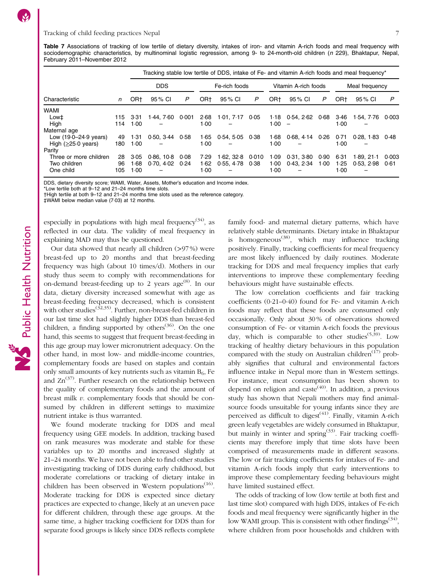<span id="page-6-0"></span>Table 7 Associations of tracking of low tertile of dietary diversity, intakes of iron- and vitamin A-rich foods and meal frequency with sociodemographic characteristics, by multinominal logistic regression, among 9- to 24-month-old children (n 229), Bhaktapur, Nepal, February 2011–November 2012

|                                   |     | Tracking stable low tertile of DDS, intake of Fe- and vitamin A-rich foods and meal frequency* |                          |       |                 |               |       |                 |                      |      |                 |            |       |  |  |
|-----------------------------------|-----|------------------------------------------------------------------------------------------------|--------------------------|-------|-----------------|---------------|-------|-----------------|----------------------|------|-----------------|------------|-------|--|--|
|                                   |     |                                                                                                | <b>DDS</b>               |       |                 | Fe-rich foods |       |                 | Vitamin A-rich foods |      | Meal frequency  |            |       |  |  |
| Characteristic                    | n   | OR <sup>+</sup>                                                                                | 95 % CI                  | P     | OR <sub>†</sub> | 95% CI        | P     | OR <sub>t</sub> | 95 % CI              | P    | OR <sub>t</sub> | 95% CI     | P     |  |  |
| <b>WAMI</b>                       |     |                                                                                                |                          |       |                 |               |       |                 |                      |      |                 |            |       |  |  |
| Low <sub>‡</sub>                  | 115 | 3.31                                                                                           | 1.44.7.60                | 0.001 | 2.68            | 1.01.7.17     | 0.05  | 1.18            | 0.54.262             | 0.68 | 3.46            | 1.54.776   | 0.003 |  |  |
| High                              | 114 | 1.00                                                                                           | $\overline{\phantom{0}}$ |       | 1.00            |               |       | 1.00            | $\qquad \qquad -$    |      | 1.00            | -          |       |  |  |
| Maternal age                      |     |                                                                                                |                          |       |                 |               |       |                 |                      |      |                 |            |       |  |  |
| Low $(19.0 - 24.9 \text{ years})$ | 49  | 1.31                                                                                           | 0.50, 3.44               | 0.58  | 1.65            | 0.54, 5.05    | 0.38  | 1.68            | 0.68, 4.14           | 0.26 | 0.71            | 0.28.1.83  | 0.48  |  |  |
| High $(≥25.0 \text{ years})$      | 180 | 1.00                                                                                           |                          |       | $1-00$          |               |       | 1.00            |                      |      | 1.00            |            |       |  |  |
| Parity                            |     |                                                                                                |                          |       |                 |               |       |                 |                      |      |                 |            |       |  |  |
| Three or more children            | 28  | 3.05                                                                                           | 0.86, 10.8               | 0.08  | 7.29            | 1.62.32.8     | 0.010 | 1.09            | 0.31, 3.80           | 0.90 | 6.31            | 1.89.21.1  | 0.003 |  |  |
| Two children                      | 96  | 1.68                                                                                           | 0.70, 4.02               | 0.24  | 1.62            | 0.55, 4.78    | 0.38  | $1-00$          | 0.43, 2.34           | 1.00 | 1.25            | 0.53, 2.98 | 0.61  |  |  |
| One child                         | 105 | 1.00                                                                                           | $\overline{\phantom{0}}$ |       | 1.00            |               |       | $1-00$          |                      |      | 1.00            | -          |       |  |  |

DDS, dietary diversity score; WAMI, Water, Assets, Mother's education and Income index.

\*Low tertile both at 9–12 and 21–24 months time slots.

†High tertile at both 9–12 and 21–24 months time slots used as the reference category.

‡WAMI below median value (7·03) at 12 months.

especially in populations with high meal frequency<sup>[\(34](#page-9-0))</sup>, as reflected in our data. The validity of meal frequency in explaining MAD may thus be questioned.

Our data showed that nearly all children (>97 %) were breast-fed up to 20 months and that breast-feeding frequency was high (about 10 times/d). Mothers in our study thus seem to comply with recommendations for on-demand breast-feeding up to 2 years age<sup>[\(8\)](#page-8-0)</sup>. In our data, dietary diversity increased somewhat with age as breast-feeding frequency decreased, which is consistent with other studies<sup>[\(32,](#page-8-0)[35](#page-9-0))</sup>. Further, non-breast-fed children in our last time slot had slightly higher DDS than breast-fed children, a finding supported by others<sup> $(36)$  $(36)$ </sup>. On the one hand, this seems to suggest that frequent breast-feeding in this age group may lower micronutrient adequacy. On the other hand, in most low- and middle-income countries, complementary foods are based on staples and contain only small amounts of key nutrients such as vitamin  $B_6$ , Fe and  $\text{Zn}^{(37)}$  $\text{Zn}^{(37)}$  $\text{Zn}^{(37)}$ . Further research on the relationship between the quality of complementary foods and the amount of breast milk  $v$ . complementary foods that should be consumed by children in different settings to maximize nutrient intake is thus warranted.

We found moderate tracking for DDS and meal frequency using GEE models. In addition, tracking based on rank measures was moderate and stable for these variables up to 20 months and increased slightly at 21–24 months. We have not been able to find other studies investigating tracking of DDS during early childhood, but moderate correlations or tracking of dietary intake in children has been observed in Western populations $(16)$  $(16)$  $(16)$ . Moderate tracking for DDS is expected since dietary practices are expected to change, likely at an uneven pace for different children, through these age groups. At the same time, a higher tracking coefficient for DDS than for separate food groups is likely since DDS reflects complete family food- and maternal dietary patterns, which have relatively stable determinants. Dietary intake in Bhaktapur is homogeneous<sup>([38](#page-9-0))</sup>, which may influence tracking positively. Finally, tracking coefficients for meal frequency are most likely influenced by daily routines. Moderate tracking for DDS and meal frequency implies that early interventions to improve these complementary feeding behaviours might have sustainable effects.

The low correlation coefficients and fair tracking coefficients (0·21–0·40) found for Fe- and vitamin A-rich foods may reflect that these foods are consumed only occasionally. Only about 30 % of observations showed consumption of Fe- or vitamin A-rich foods the previous day, which is comparable to other studies<sup> $(5,39)$  $(5,39)$ </sup>. Low tracking of healthy dietary behaviours in this population compared with the study on Australian children<sup> $(17)$  $(17)$ </sup> probably signifies that cultural and environmental factors influence intake in Nepal more than in Western settings. For instance, meat consumption has been shown to depend on religion and caste $(40)$  $(40)$ . In addition, a previous study has shown that Nepali mothers may find animalsource foods unsuitable for young infants since they are perceived as difficult to digest $(41)$  $(41)$ . Finally, vitamin A-rich green leafy vegetables are widely consumed in Bhaktapur, but mainly in winter and spring<sup>[\(33](#page-9-0))</sup>. Fair tracking coefficients may therefore imply that time slots have been comprised of measurements made in different seasons. The low or fair tracking coefficients for intakes of Fe- and vitamin A-rich foods imply that early interventions to improve these complementary feeding behaviours might have limited sustained effect.

The odds of tracking of low (low tertile at both first and last time slot) compared with high DDS, intakes of Fe-rich foods and meal frequency were significantly higher in the low WAMI group. This is consistent with other findings<sup>([34\)](#page-9-0)</sup>, where children from poor households and children with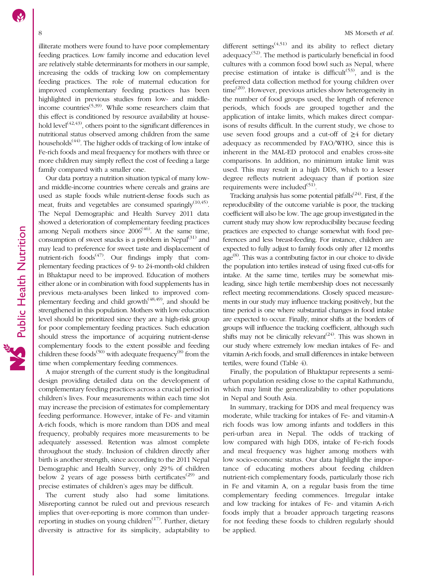illiterate mothers were found to have poor complementary feeding practices. Low family income and education level are relatively stable determinants for mothers in our sample, increasing the odds of tracking low on complementary feeding practices. The role of maternal education for improved complementary feeding practices has been highlighted in previous studies from low- and middleincome countries<sup> $(5,39)$  $(5,39)$  $(5,39)$ </sup>. While some researchers claim that this effect is conditioned by resource availability at household level<sup> $(42,43)$ </sup>, others point to the significant differences in nutritional status observed among children from the same households<sup>([44\)](#page-9-0)</sup>. The higher odds of tracking of low intake of Fe-rich foods and meal frequency for mothers with three or more children may simply reflect the cost of feeding a large

family compared with a smaller one. Our data portray a nutrition situation typical of many lowand middle-income countries where cereals and grains are used as staple foods while nutrient-dense foods such as meat, fruits and vegetables are consumed sparingly $(10,45)$  $(10,45)$  $(10,45)$ . The Nepal Demographic and Health Survey 2011 data showed a deterioration of complementary feeding practices among Nepali mothers since  $2006^{(46)}$  $2006^{(46)}$  $2006^{(46)}$ . At the same time, consumption of sweet snacks is a problem in Nepal $^{(31)}$  $^{(31)}$  $^{(31)}$  and may lead to preference for sweet taste and displacement of nutrient-rich  $f(47)$  $f(47)$  $f(47)$ . Our findings imply that complementary feeding practices of 9- to 24-month-old children in Bhaktapur need to be improved. Education of mothers either alone or in combination with food supplements has in previous meta-analyses been linked to improved complementary feeding and child growth<sup> $(48,49)$  $(48,49)$  $(48,49)$  $(48,49)$ </sup>, and should be strengthened in this population. Mothers with low education level should be prioritized since they are a high-risk group for poor complementary feeding practices. Such education should stress the importance of acquiring nutrient-dense complementary foods to the extent possible and feeding children these foods<sup> $(50)$ </sup> with adequate frequency $(8)$  $(8)$  from the time when complementary feeding commences.

A major strength of the current study is the longitudinal design providing detailed data on the development of complementary feeding practices across a crucial period in children's lives. Four measurements within each time slot may increase the precision of estimates for complementary feeding performance. However, intake of Fe- and vitamin A-rich foods, which is more random than DDS and meal frequency, probably requires more measurements to be adequately assessed. Retention was almost complete throughout the study. Inclusion of children directly after birth is another strength, since according to the 2011 Nepal Demographic and Health Survey, only 29 % of children below 2 years of age possess birth certificates<sup> $(29)$  $(29)$ </sup> and precise estimates of children's ages may be difficult.

The current study also had some limitations. Misreporting cannot be ruled out and previous research implies that over-reporting is more common than underreporting in studies on young children<sup> $(17)$  $(17)$ </sup>. Further, dietary diversity is attractive for its simplicity, adaptability to different settings<sup> $(4,51)$  $(4,51)$ </sup> and its ability to reflect dietary adequacy<sup>[\(52](#page-9-0))</sup>. The method is particularly beneficial in food cultures with a common food bowl such as Nepal, where precise estimation of intake is difficult<sup> $(53)$  $(53)$ </sup>, and is the preferred data collection method for young children over time<sup>[\(20](#page-8-0))</sup>. However, previous articles show heterogeneity in the number of food groups used, the length of reference periods, which foods are grouped together and the application of intake limits, which makes direct comparisons of results difficult. In the current study, we chose to use seven food groups and a cut-off of ≥4 for dietary adequacy as recommended by FAO/WHO, since this is inherent in the MAL-ED protocol and enables cross-site comparisons. In addition, no minimum intake limit was used. This may result in a high DDS, which to a lesser degree reflects nutrient adequacy than if portion size requirements were included<sup>[\(51](#page-9-0))</sup>.

Tracking analysis has some potential pitfalls<sup>[\(24\)](#page-8-0)</sup>. First, if the reproducibility of the outcome variable is poor, the tracking coefficient will also be low. The age group investigated in the current study may show low reproducibility because feeding practices are expected to change somewhat with food preferences and less breast-feeding. For instance, children are expected to fully adjust to family foods only after 12 months age<sup>[\(8](#page-8-0))</sup>. This was a contributing factor in our choice to divide the population into tertiles instead of using fixed cut-offs for intake. At the same time, tertiles may be somewhat misleading, since high tertile membership does not necessarily reflect meeting recommendations. Closely spaced measurements in our study may influence tracking positively, but the time period is one where substantial changes in food intake are expected to occur. Finally, minor shifts at the borders of groups will influence the tracking coefficient, although such shifts may not be clinically relevant<sup> $(24)$  $(24)$ </sup>. This was shown in our study where extremely low median intakes of Fe- and vitamin A-rich foods, and small differences in intake between tertiles, were found [\(Table 4](#page-4-0)).

Finally, the population of Bhaktapur represents a semiurban population residing close to the capital Kathmandu, which may limit the generalizability to other populations in Nepal and South Asia.

In summary, tracking for DDS and meal frequency was moderate, while tracking for intakes of Fe- and vitamin-A rich foods was low among infants and toddlers in this peri-urban area in Nepal. The odds of tracking of low compared with high DDS, intake of Fe-rich foods and meal frequency was higher among mothers with low socio-economic status. Our data highlight the importance of educating mothers about feeding children nutrient-rich complementary foods, particularly those rich in Fe and vitamin A, on a regular basis from the time complementary feeding commences. Irregular intake and low tracking for intakes of Fe- and vitamin A-rich foods imply that a broader approach targeting reasons for not feeding these foods to children regularly should be applied.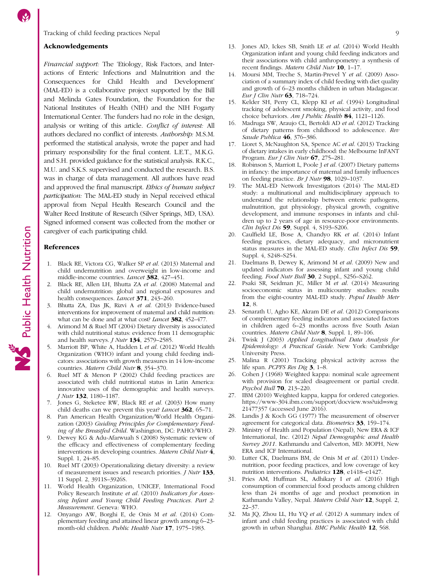<span id="page-8-0"></span>Tracking of child feeding practices Nepal 9

#### Acknowledgements

Financial support: The 'Etiology, Risk Factors, and Interactions of Enteric Infections and Malnutrition and the Consequences for Child Health and Development' (MAL-ED) is a collaborative project supported by the Bill and Melinda Gates Foundation, the Foundation for the National Institutes of Health (NIH) and the NIH Fogarty International Center. The funders had no role in the design, analysis or writing of this article. Conflict of interest: All authors declared no conflict of interests. Authorship: M.S.M. performed the statistical analysis, wrote the paper and had primary responsibility for the final content. L.E.T., M.K.G. and S.H. provided guidance for the statistical analysis. R.K.C., M.U. and S.K.S. supervised and conducted the research. B.S. was in charge of data management. All authors have read and approved the final manuscript. Ethics of human subject participation: The MAL-ED study in Nepal received ethical approval from Nepal Health Research Council and the Walter Reed Institute of Research (Silver Springs, MD, USA). Signed informed consent was collected from the mother or caregiver of each participating child.

#### References

- 1. Black RE, Victora CG, Walker SP et al. (2013) Maternal and child undernutrition and overweight in low-income and middle-income countries. Lancet 382, 427–451.
- 2. Black RE, Allen LH, Bhutta ZA et al. (2008) Maternal and child undernutrition: global and regional exposures and health consequences. *Lancet* 371, 243-260.
- 3. Bhutta ZA, Das JK, Rizvi A et al. (2013) Evidence-based interventions for improvement of maternal and child nutrition: what can be done and at what cost? Lancet 382, 452-477.
- 4. Arimond M & Ruel MT (2004) Dietary diversity is associated with child nutritional status: evidence from 11 demographic and health surveys. *J Nutr* 134, 2579-2585.
- 5. Marriott BP, White A, Hadden L et al. (2012) World Health Organization (WHO) infant and young child feeding indicators: associations with growth measures in 14 low-income countries. Matern Child Nutr 8, 354–370.
- 6. Ruel MT & Menon P (2002) Child feeding practices are associated with child nutritional status in Latin America: innovative uses of the demographic and health surveys. J Nutr 132, 1180–1187.
- 7. Jones G, Steketee RW, Black RE et al. (2003) How many child deaths can we prevent this year? Lancet 362, 65-71.
- Pan American Health Organization/World Health Organization (2003) Guiding Principles for Complementary Feeding of the Breastfed Child. Washington, DC: PAHO/WHO.
- 9. Dewey KG & Adu-Afarwuah S (2008) Systematic review of the efficacy and effectiveness of complementary feeding interventions in developing countries. Matern Child Nutr 4, Suppl. 1, 24–85.
- 10. Ruel MT (2003) Operationalizing dietary diversity: a review of measurement issues and research priorities. J Nutr 133, 11 Suppl. 2, 3911S–3926S.
- 11. World Health Organization, UNICEF, International Food Policy Research Institute et al. (2010) Indicators for Assessing Infant and Young Child Feeding Practices. Part 2: Measurement. Geneva: WHO.
- 12. Onyango AW, Borghi E, de Onis M et al. (2014) Complementary feeding and attained linear growth among 6–23 month-old children. Public Health Nutr 17, 1975–1983.
- 13. Jones AD, Ickes SB, Smith LE et al. (2014) World Health Organization infant and young child feeding indicators and their associations with child anthropometry: a synthesis of recent findings. Matern Child Nutr 10, 1-17.
- 14. Moursi MM, Treche S, Martin-Prevel Y et al. (2009) Association of a summary index of child feeding with diet quality and growth of 6–23 months children in urban Madagascar. Eur J Clin Nutr **63**, 718-724.
- 15. Kelder SH, Perry CL, Klepp KI et al. (1994) Longitudinal tracking of adolescent smoking, physical activity, and food choice behaviors. Am J Public Health 84, 1121-1126.
- 16. Madruga SW, Araujo CL, Bertoldi AD et al. (2012) Tracking of dietary patterns from childhood to adolescence. Rev Saude Publica 46, 376-386.
- 17. Lioret S, McNaughton SA, Spence AC et al. (2013) Tracking of dietary intakes in early childhood: the Melbourne InFANT Program. Eur J Clin Nutr 67, 275–281.
- 18. Robinson S, Marriott L, Poole J et al. (2007) Dietary patterns in infancy: the importance of maternal and family influences on feeding practice. Br J Nutr 98, 1029-1037.
- 19. The MAL-ED Network Investigators (2014) The MAL-ED study: a multinational and multidisciplinary approach to understand the relationship between enteric pathogens, malnutrition, gut physiology, physical growth, cognitive development, and immune responses in infants and children up to 2 years of age in resource-poor environments. Clin Infect Dis 59, Suppl. 4, S193–S206.
- 20. Caulfield LE, Bose A, Chandyo RK et al. (2014) Infant feeding practices, dietary adequacy, and micronutrient status measures in the MAL-ED study. Clin Infect Dis 59, Suppl. 4, S248–S254.
- Daelmans B, Dewey K, Arimond M et al. (2009) New and updated indicators for assessing infant and young child feeding. Food Nutr Bull 30, 2 Suppl., S256-S262.
- 22. Psaki SR, Seidman JC, Miller M et al. (2014) Measuring socioeconomic status in multicountry studies: results from the eight-country MAL-ED study. Popul Health Metr 12, 8.
- 23. Senarath U, Agho KE, Akram DE et al. (2012) Comparisons of complementary feeding indicators and associated factors in children aged 6–23 months across five South Asian countries. Matern Child Nutr 8, Suppl. 1, 89–106.
- 24. Twisk J (2003) Applied Longitudinal Data Analysis for Epidemiology: A Practical Guide. New York: Cambridge University Press.
- 25. Malina R (2001) Tracking physical activity across the life span. PCPFS Res Dig 3, 1-8.
- 26. Cohen J (1968) Weighted kappa: nominal scale agreement with provision for scaled disagreement or partial credit. Psychol Bull 70, 213–220.
- 27. IBM (2010) Weighted kappa, kappa for ordered categories. [https://www-304.ibm.com/support/docview.wss?uid](https://www-304.ibm.com/support/docview.wss?uid=swg21477357)=swg [21477357](https://www-304.ibm.com/support/docview.wss?uid=swg21477357) (accessed June 2016).
- 28. Landis J & Koch GG (1977) The measurement of observer agreement for categorical data. Biometrics 33, 159–174.
- 29. Ministry of Health and Population (Nepal), New ERA & ICF International, Inc. (2012) Nepal Demographic and Health Survey 2011. Kathmandu and Calverton, MD: MOPH, New ERA and ICF International.
- 30. Lutter CK, Daelmans BM, de Onis M et al. (2011) Undernutrition, poor feeding practices, and low coverage of key nutrition interventions. Pediatrics 128, e1418–e1427.
- 31. Pries AM, Huffman SL, Adhikary I et al. (2016) High consumption of commercial food products among children less than 24 months of age and product promotion in Kathmandu Valley, Nepal. Matern Child Nutr 12, Suppl. 2, 22–37.
- 32. Ma JQ, Zhou LL, Hu YQ et al. (2012) A summary index of infant and child feeding practices is associated with child growth in urban Shanghai. BMC Public Health 12, 568.